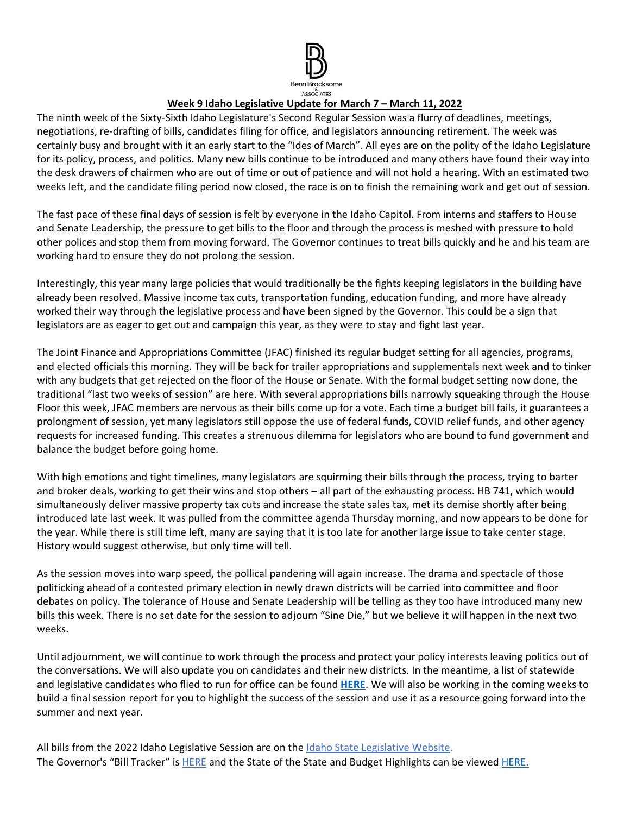

## **Week 9 Idaho Legislative Update for March 7 – March 11, 2022**

The ninth week of the Sixty-Sixth Idaho Legislature's Second Regular Session was a flurry of deadlines, meetings, negotiations, re-drafting of bills, candidates filing for office, and legislators announcing retirement. The week was certainly busy and brought with it an early start to the "Ides of March". All eyes are on the polity of the Idaho Legislature for its policy, process, and politics. Many new bills continue to be introduced and many others have found their way into the desk drawers of chairmen who are out of time or out of patience and will not hold a hearing. With an estimated two weeks left, and the candidate filing period now closed, the race is on to finish the remaining work and get out of session.

The fast pace of these final days of session is felt by everyone in the Idaho Capitol. From interns and staffers to House and Senate Leadership, the pressure to get bills to the floor and through the process is meshed with pressure to hold other polices and stop them from moving forward. The Governor continues to treat bills quickly and he and his team are working hard to ensure they do not prolong the session.

Interestingly, this year many large policies that would traditionally be the fights keeping legislators in the building have already been resolved. Massive income tax cuts, transportation funding, education funding, and more have already worked their way through the legislative process and have been signed by the Governor. This could be a sign that legislators are as eager to get out and campaign this year, as they were to stay and fight last year.

The Joint Finance and Appropriations Committee (JFAC) finished its regular budget setting for all agencies, programs, and elected officials this morning. They will be back for trailer appropriations and supplementals next week and to tinker with any budgets that get rejected on the floor of the House or Senate. With the formal budget setting now done, the traditional "last two weeks of session" are here. With several appropriations bills narrowly squeaking through the House Floor this week, JFAC members are nervous as their bills come up for a vote. Each time a budget bill fails, it guarantees a prolongment of session, yet many legislators still oppose the use of federal funds, COVID relief funds, and other agency requests for increased funding. This creates a strenuous dilemma for legislators who are bound to fund government and balance the budget before going home.

With high emotions and tight timelines, many legislators are squirming their bills through the process, trying to barter and broker deals, working to get their wins and stop others – all part of the exhausting process. HB 741, which would simultaneously deliver massive property tax cuts and increase the state sales tax, met its demise shortly after being introduced late last week. It was pulled from the committee agenda Thursday morning, and now appears to be done for the year. While there is still time left, many are saying that it is too late for another large issue to take center stage. History would suggest otherwise, but only time will tell.

As the session moves into warp speed, the pollical pandering will again increase. The drama and spectacle of those politicking ahead of a contested primary election in newly drawn districts will be carried into committee and floor debates on policy. The tolerance of House and Senate Leadership will be telling as they too have introduced many new bills this week. There is no set date for the session to adjourn "Sine Die," but we believe it will happen in the next two weeks.

Until adjournment, we will continue to work through the process and protect your policy interests leaving politics out of the conversations. We will also update you on candidates and their new districts. In the meantime, a list of statewide and legislative candidates who flied to run for office can be found **[HERE](https://sos.idaho.gov/)**. We will also be working in the coming weeks to build a final session report for you to highlight the success of the session and use it as a resource going forward into the summer and next year.

All bills from the 2022 Idaho Legislative Session are on th[e Idaho State Legislative Website.](https://legislature.idaho.gov/sessioninfo/) The Governor's "Bill Tracker" is [HERE](https://gov.idaho.gov/legislative-sessions/2022-legislative-session/) and the State of the State and Budget Highlights can be viewe[d HERE.](https://gov.idaho.gov/pressrelease/gov-little-highlights-plan-for-education-investments-tax-relief-in-2022-state-of-the-state-and-budget-address/)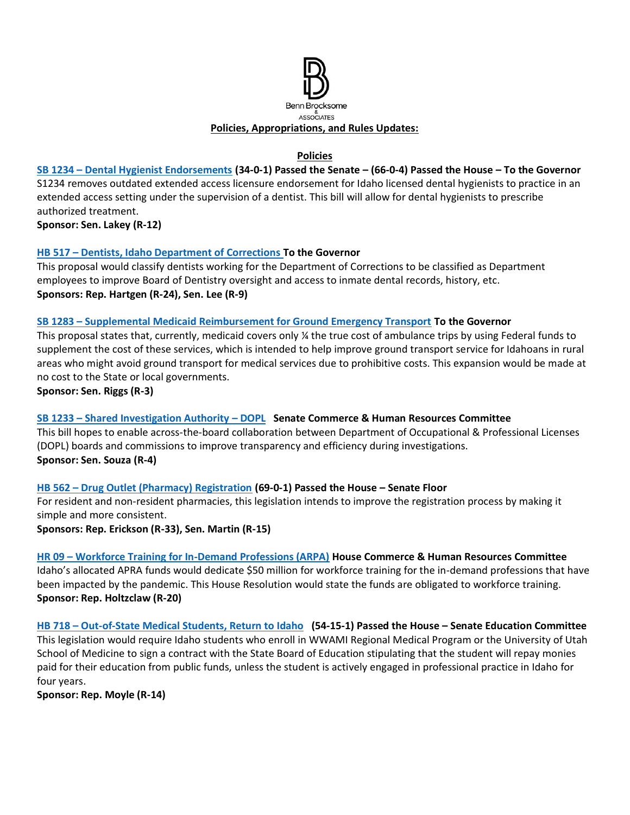

## **Policies**

**SB 1234 – [Dental Hygienist Endorsements](https://legislature.idaho.gov/sessioninfo/2022/legislation/S1234/) (34-0-1) Passed the Senate – (66-0-4) Passed the House – To the Governor**  S1234 removes outdated extended access licensure endorsement for Idaho licensed dental hygienists to practice in an extended access setting under the supervision of a dentist. This bill will allow for dental hygienists to prescribe authorized treatment.

**Sponsor: Sen. Lakey (R-12)**

## **HB 517 – [Dentists, Idaho Department of Corrections](https://legislature.idaho.gov/sessioninfo/2022/legislation/H0517/) To the Governor**

This proposal would classify dentists working for the Department of Corrections to be classified as Department employees to improve Board of Dentistry oversight and access to inmate dental records, history, etc. **Sponsors: Rep. Hartgen (R-24), Sen. Lee (R-9)** 

#### **SB 1283 – [Supplemental Medicaid Reimbursement for Ground Emergency Transport](https://legislature.idaho.gov/sessioninfo/2022/legislation/S1283/) To the Governor**

This proposal states that, currently, medicaid covers only ¼ the true cost of ambulance trips by using Federal funds to supplement the cost of these services, which is intended to help improve ground transport service for Idahoans in rural areas who might avoid ground transport for medical services due to prohibitive costs. This expansion would be made at no cost to the State or local governments.

**Sponsor: Sen. Riggs (R-3)**

#### **SB 1233 – [Shared Investigation Authority](https://legislature.idaho.gov/sessioninfo/2022/legislation/S1233/) – DOPL Senate Commerce & Human Resources Committee**

This bill hopes to enable across-the-board collaboration between Department of Occupational & Professional Licenses (DOPL) boards and commissions to improve transparency and efficiency during investigations. **Sponsor: Sen. Souza (R-4)** 

#### **HB 562 – [Drug Outlet \(Pharmacy\) Registration](https://legislature.idaho.gov/sessioninfo/2022/legislation/H0562) (69-0-1) Passed the House – Senate Floor**

For resident and non-resident pharmacies, this legislation intends to improve the registration process by making it simple and more consistent.

#### **Sponsors: Rep. Erickson (R-33), Sen. Martin (R-15)**

**HR 09 – [Workforce Training for In-Demand Professions \(ARPA\)](https://legislature.idaho.gov/sessioninfo/2022/legislation/HR009/) House Commerce & Human Resources Committee** Idaho's allocated APRA funds would dedicate \$50 million for workforce training for the in-demand professions that have been impacted by the pandemic. This House Resolution would state the funds are obligated to workforce training. **Sponsor: Rep. Holtzclaw (R-20)**

**HB 718 – [Out-of-State Medical Students, Return to Idaho](https://legislature.idaho.gov/sessioninfo/2022/legislation/H0718/) (54-15-1) Passed the House – Senate Education Committee** This legislation would require Idaho students who enroll in WWAMI Regional Medical Program or the University of Utah School of Medicine to sign a contract with the State Board of Education stipulating that the student will repay monies paid for their education from public funds, unless the student is actively engaged in professional practice in Idaho for four years.

**Sponsor: Rep. Moyle (R-14)**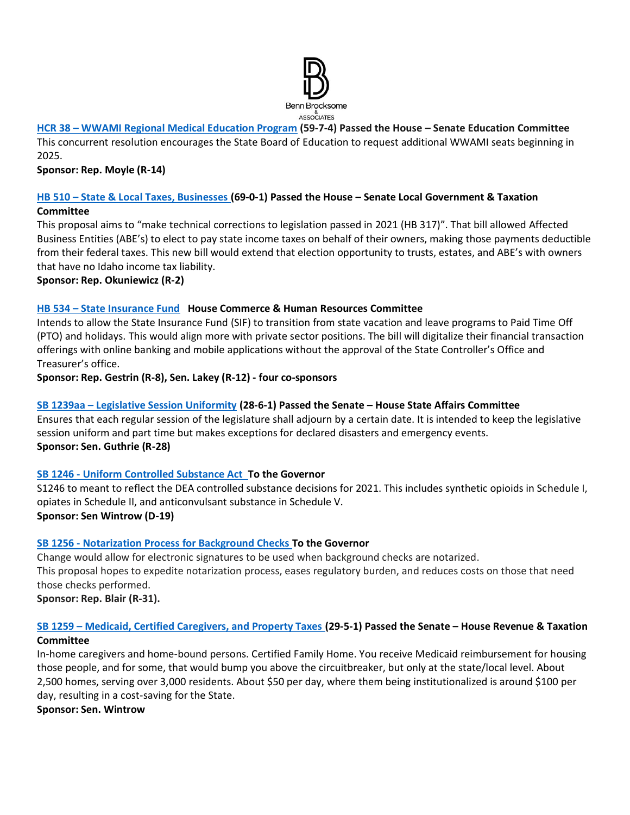

# **HCR 38 – [WWAMI Regional Medical Education Program](https://legislature.idaho.gov/sessioninfo/2022/legislation/HCR038/) (59-7-4) Passed the House – Senate Education Committee**

This concurrent resolution encourages the State Board of Education to request additional WWAMI seats beginning in 2025.

## **Sponsor: Rep. Moyle (R-14)**

#### **HB 510 – [State & Local Taxes, Businesses](https://legislature.idaho.gov/sessioninfo/2022/legislation/H0510/) (69-0-1) Passed the House – Senate Local Government & Taxation Committee**

This proposal aims to "make technical corrections to legislation passed in 2021 (HB 317)". That bill allowed Affected Business Entities (ABE's) to elect to pay state income taxes on behalf of their owners, making those payments deductible from their federal taxes. This new bill would extend that election opportunity to trusts, estates, and ABE's with owners that have no Idaho income tax liability.

**Sponsor: Rep. Okuniewicz (R-2)**

## **HB 534 – [State Insurance Fund](https://legislature.idaho.gov/sessioninfo/2022/legislation/H0534/) House Commerce & Human Resources Committee**

Intends to allow the State Insurance Fund (SIF) to transition from state vacation and leave programs to Paid Time Off (PTO) and holidays. This would align more with private sector positions. The bill will digitalize their financial transaction offerings with online banking and mobile applications without the approval of the State Controller's Office and Treasurer's office.

**Sponsor: Rep. Gestrin (R-8), Sen. Lakey (R-12) - four co-sponsors**

## **SB 1239aa – [Legislative Session Uniformity](https://legislature.idaho.gov/sessioninfo/2022/legislation/S1239/) (28-6-1) Passed the Senate – House State Affairs Committee**

Ensures that each regular session of the legislature shall adjourn by a certain date. It is intended to keep the legislative session uniform and part time but makes exceptions for declared disasters and emergency events. **Sponsor: Sen. Guthrie (R-28)**

#### **SB 1246 - [Uniform Controlled Substance Act](https://legislature.idaho.gov/sessioninfo/2022/legislation/S1246/) To the Governor**

S1246 to meant to reflect the DEA controlled substance decisions for 2021. This includes synthetic opioids in Schedule I, opiates in Schedule II, and anticonvulsant substance in Schedule V.

**Sponsor: Sen Wintrow (D-19)** 

#### **SB 1256 - [Notarization Process for Background Checks](https://legislature.idaho.gov/sessioninfo/2022/legislation/S1256/) To the Governor**

Change would allow for electronic signatures to be used when background checks are notarized. This proposal hopes to expedite notarization process, eases regulatory burden, and reduces costs on those that need those checks performed.

**Sponsor: Rep. Blair (R-31).** 

## **SB 1259 – [Medicaid, Certified Caregivers, and Property Taxes](https://legislature.idaho.gov/sessioninfo/2022/legislation/S1259/) (29-5-1) Passed the Senate – House Revenue & Taxation Committee**

In-home caregivers and home-bound persons. Certified Family Home. You receive Medicaid reimbursement for housing those people, and for some, that would bump you above the circuitbreaker, but only at the state/local level. About 2,500 homes, serving over 3,000 residents. About \$50 per day, where them being institutionalized is around \$100 per day, resulting in a cost-saving for the State.

**Sponsor: Sen. Wintrow**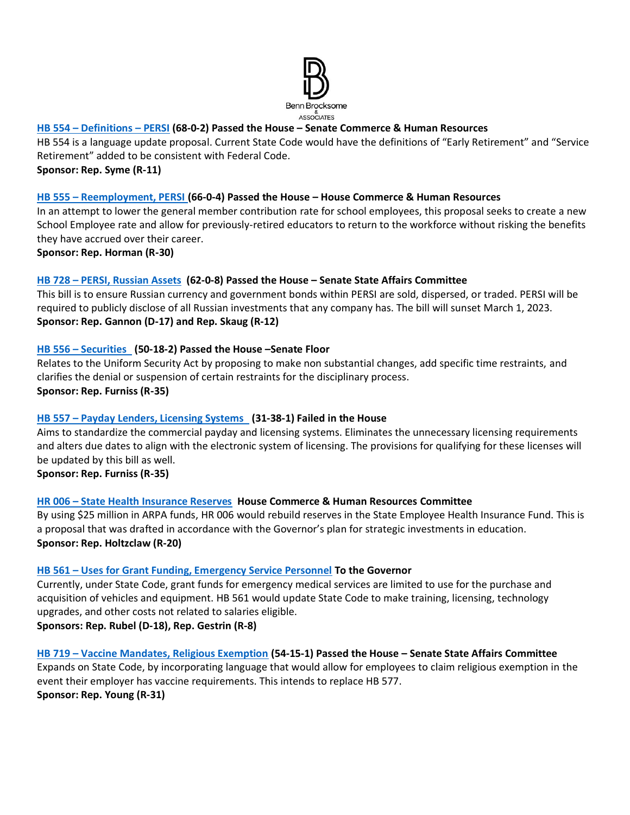

## **HB 554 – [Definitions](https://legislature.idaho.gov/sessioninfo/2022/legislation/H0554) – PERSI (68-0-2) Passed the House – Senate Commerce & Human Resources**

HB 554 is a language update proposal. Current State Code would have the definitions of "Early Retirement" and "Service Retirement" added to be consistent with Federal Code.

**Sponsor: Rep. Syme (R-11)**

## **HB 555 – [Reemployment, PERSI](https://legislature.idaho.gov/sessioninfo/2022/legislation/H0555) (66-0-4) Passed the House – House Commerce & Human Resources**

In an attempt to lower the general member contribution rate for school employees, this proposal seeks to create a new School Employee rate and allow for previously-retired educators to return to the workforce without risking the benefits they have accrued over their career.

**Sponsor: Rep. Horman (R-30)**

## **HB 728 – [PERSI, Russian Assets](https://legislature.idaho.gov/sessioninfo/2022/legislation/H0728/) (62-0-8) Passed the House – Senate State Affairs Committee**

This bill is to ensure Russian currency and government bonds within PERSI are sold, dispersed, or traded. PERSI will be required to publicly disclose of all Russian investments that any company has. The bill will sunset March 1, 2023. **Sponsor: Rep. Gannon (D-17) and Rep. Skaug (R-12)**

## **HB 556 – [Securities](https://legislature.idaho.gov/sessioninfo/2022/legislation/H0556) (50-18-2) Passed the House –Senate Floor**

Relates to the Uniform Security Act by proposing to make non substantial changes, add specific time restraints, and clarifies the denial or suspension of certain restraints for the disciplinary process. **Sponsor: Rep. Furniss (R-35)**

## **HB 557 – [Payday Lenders, Licensing Systems](https://legislature.idaho.gov/sessioninfo/2022/legislation/H0557) (31-38-1) Failed in the House**

Aims to standardize the commercial payday and licensing systems. Eliminates the unnecessary licensing requirements and alters due dates to align with the electronic system of licensing. The provisions for qualifying for these licenses will be updated by this bill as well.

**Sponsor: Rep. Furniss (R-35)**

#### **HR 006 – [State Health Insurance Reserves](https://legislature.idaho.gov/sessioninfo/2022/legislation/HR006/) House Commerce & Human Resources Committee**

By using \$25 million in ARPA funds, HR 006 would rebuild reserves in the State Employee Health Insurance Fund. This is a proposal that was drafted in accordance with the Governor's plan for strategic investments in education. **Sponsor: Rep. Holtzclaw (R-20)**

#### **HB 561 – [Uses for Grant Funding, Emergency Service Personnel](https://legislature.idaho.gov/sessioninfo/2022/legislation/H0561) To the Governor**

Currently, under State Code, grant funds for emergency medical services are limited to use for the purchase and acquisition of vehicles and equipment. HB 561 would update State Code to make training, licensing, technology upgrades, and other costs not related to salaries eligible.

**Sponsors: Rep. Rubel (D-18), Rep. Gestrin (R-8)**

#### **HB 719 – [Vaccine Mandates, Religious Exemption](https://legislature.idaho.gov/sessioninfo/2022/legislation/H0719/) (54-15-1) Passed the House – Senate State Affairs Committee**

Expands on State Code, by incorporating language that would allow for employees to claim religious exemption in the event their employer has vaccine requirements. This intends to replace HB 577. **Sponsor: Rep. Young (R-31)**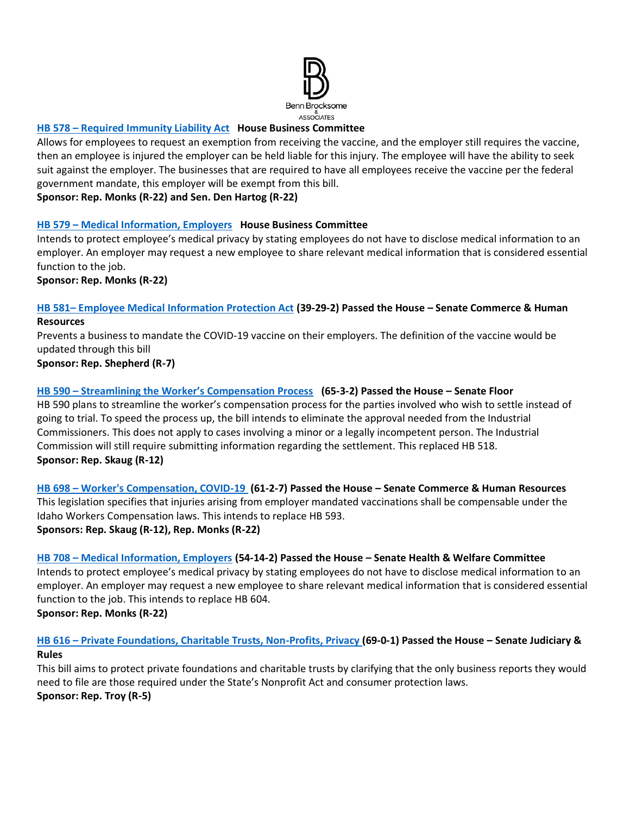

## **HB 578 – [Required Immunity Liability Act](https://legislature.idaho.gov/sessioninfo/2022/legislation/H0578) House Business Committee**

Allows for employees to request an exemption from receiving the vaccine, and the employer still requires the vaccine, then an employee is injured the employer can be held liable for this injury. The employee will have the ability to seek suit against the employer. The businesses that are required to have all employees receive the vaccine per the federal government mandate, this employer will be exempt from this bill.

**Sponsor: Rep. Monks (R-22) and Sen. Den Hartog (R-22)**

## **HB 579 – [Medical Information, Employers](https://legislature.idaho.gov/sessioninfo/2022/legislation/H0579/) House Business Committee**

Intends to protect employee's medical privacy by stating employees do not have to disclose medical information to an employer. An employer may request a new employee to share relevant medical information that is considered essential function to the job.

**Sponsor: Rep. Monks (R-22)**

#### **HB 581– [Employee Medical Information Protection Act](https://legislature.idaho.gov/sessioninfo/2022/legislation/H0581) (39-29-2) Passed the House – Senate Commerce & Human Resources**

Prevents a business to mandate the COVID-19 vaccine on their employers. The definition of the vaccine would be updated through this bill

**Sponsor: Rep. Shepherd (R-7)**

## **HB 590 – [Streamlining the Worker's Compensation Process](https://legislature.idaho.gov/sessioninfo/2022/legislation/H0590) (65-3-2) Passed the House – Senate Floor**

HB 590 plans to streamline the worker's compensation process for the parties involved who wish to settle instead of going to trial. To speed the process up, the bill intends to eliminate the approval needed from the Industrial Commissioners. This does not apply to cases involving a minor or a legally incompetent person. The Industrial Commission will still require submitting information regarding the settlement. This replaced HB 518. **Sponsor: Rep. Skaug (R-12)**

**HB 698 – [Worker's Compensation, COVID-19](https://legislature.idaho.gov/sessioninfo/2022/legislation/H0698/) (61-2-7) Passed the House – Senate Commerce & Human Resources** This legislation specifies that injuries arising from employer mandated vaccinations shall be compensable under the Idaho Workers Compensation laws. This intends to replace HB 593. **Sponsors: Rep. Skaug (R-12), Rep. Monks (R-22)**

#### **HB 708 – [Medical Information, Employers](https://legislature.idaho.gov/sessioninfo/2022/legislation/H0708/) (54-14-2) Passed the House – Senate Health & Welfare Committee**

Intends to protect employee's medical privacy by stating employees do not have to disclose medical information to an employer. An employer may request a new employee to share relevant medical information that is considered essential function to the job. This intends to replace HB 604.

**Sponsor: Rep. Monks (R-22)**

## **HB 616 – [Private Foundations, Charitable Trusts, Non-Profits, Privacy](https://legislature.idaho.gov/sessioninfo/2022/legislation/H0616/) (69-0-1) Passed the House – Senate Judiciary & Rules**

This bill aims to protect private foundations and charitable trusts by clarifying that the only business reports they would need to file are those required under the State's Nonprofit Act and consumer protection laws. **Sponsor: Rep. Troy (R-5)**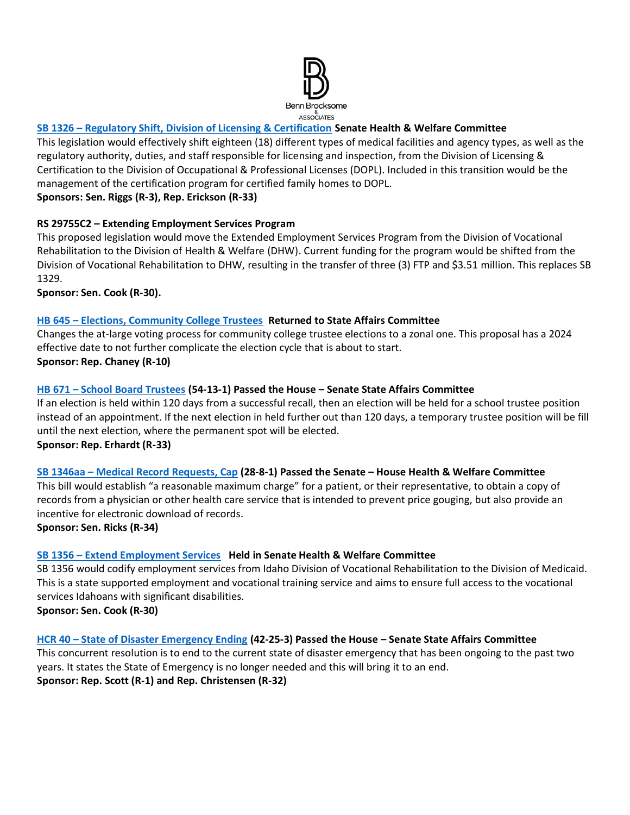

## **SB 1326 – [Regulatory Shift, Division of Licensing & Certification](https://legislature.idaho.gov/sessioninfo/2022/legislation/S1326/) Senate Health & Welfare Committee**

This legislation would effectively shift eighteen (18) different types of medical facilities and agency types, as well as the regulatory authority, duties, and staff responsible for licensing and inspection, from the Division of Licensing & Certification to the Division of Occupational & Professional Licenses (DOPL). Included in this transition would be the management of the certification program for certified family homes to DOPL. **Sponsors: Sen. Riggs (R-3), Rep. Erickson (R-33)**

**RS 29755C2 – Extending Employment Services Program**  This proposed legislation would move the Extended Employment Services Program from the Division of Vocational Rehabilitation to the Division of Health & Welfare (DHW). Current funding for the program would be shifted from the Division of Vocational Rehabilitation to DHW, resulting in the transfer of three (3) FTP and \$3.51 million. This replaces SB 1329.

**Sponsor: Sen. Cook (R-30).** 

## **HB 645 – [Elections, Community College Trustees](https://legislature.idaho.gov/sessioninfo/2022/legislation/H0645/) Returned to State Affairs Committee**

Changes the at-large voting process for community college trustee elections to a zonal one. This proposal has a 2024 effective date to not further complicate the election cycle that is about to start. **Sponsor: Rep. Chaney (R-10)**

## **HB 671 – [School Board Trustees](https://legislature.idaho.gov/sessioninfo/2022/legislation/H0671/) (54-13-1) Passed the House – Senate State Affairs Committee**

If an election is held within 120 days from a successful recall, then an election will be held for a school trustee position instead of an appointment. If the next election in held further out than 120 days, a temporary trustee position will be fill until the next election, where the permanent spot will be elected. **Sponsor: Rep. Erhardt (R-33)** 

#### **SB 1346aa – [Medical Record Requests, Cap](https://legislature.idaho.gov/sessioninfo/2022/legislation/S1346/) (28-8-1) Passed the Senate – House Health & Welfare Committee**

This bill would establish "a reasonable maximum charge" for a patient, or their representative, to obtain a copy of records from a physician or other health care service that is intended to prevent price gouging, but also provide an incentive for electronic download of records.

**Sponsor: Sen. Ricks (R-34)**

## **SB 1356 – [Extend Employment Services](https://legislature.idaho.gov/sessioninfo/2022/legislation/S1356) Held in Senate Health & Welfare Committee**

SB 1356 would codify employment services from Idaho Division of Vocational Rehabilitation to the Division of Medicaid. This is a state supported employment and vocational training service and aims to ensure full access to the vocational services Idahoans with significant disabilities. **Sponsor: Sen. Cook (R-30)**

#### **HCR 40 – [State of Disaster Emergency Ending](https://legislature.idaho.gov/sessioninfo/2022/legislation/HCR040/) (42-25-3) Passed the House – Senate State Affairs Committee**

This concurrent resolution is to end to the current state of disaster emergency that has been ongoing to the past two years. It states the State of Emergency is no longer needed and this will bring it to an end. **Sponsor: Rep. Scott (R-1) and Rep. Christensen (R-32)**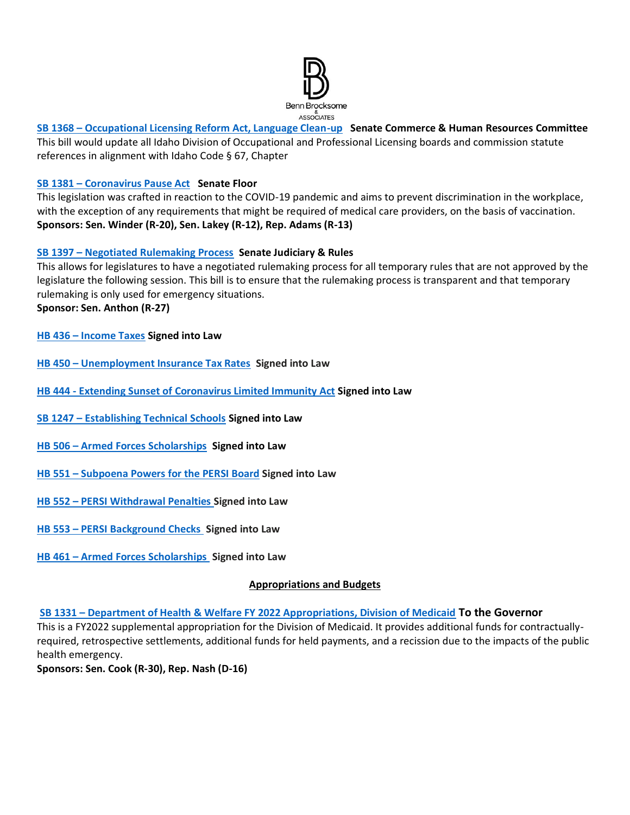

## **SB 1368 – [Occupational Licensing Reform Act, Language Clean-up](https://legislature.idaho.gov/sessioninfo/2022/legislation/S1368/) Senate Commerce & Human Resources Committee** This bill would update all Idaho Division of Occupational and Professional Licensing boards and commission statute references in alignment with Idaho Code § 67, Chapter

## **SB 1381 – [Coronavirus Pause Act](https://legislature.idaho.gov/sessioninfo/2022/legislation/S1381) Senate Floor**

This legislation was crafted in reaction to the COVID-19 pandemic and aims to prevent discrimination in the workplace, with the exception of any requirements that might be required of medical care providers, on the basis of vaccination. **Sponsors: Sen. Winder (R-20), Sen. Lakey (R-12), Rep. Adams (R-13)**

## **SB 1397 – [Negotiated Rulemaking Process](https://legislature.idaho.gov/sessioninfo/2022/legislation/S1397/) Senate Judiciary & Rules**

This allows for legislatures to have a negotiated rulemaking process for all temporary rules that are not approved by the legislature the following session. This bill is to ensure that the rulemaking process is transparent and that temporary rulemaking is only used for emergency situations. **Sponsor: Sen. Anthon (R-27)**

- **HB 436 – [Income Taxes](https://legislature.idaho.gov/sessioninfo/2022/legislation/H0436/) Signed into Law**
- **HB 450 – [Unemployment Insurance Tax Rates](https://legislature.idaho.gov/sessioninfo/2022/legislation/H0450/) Signed into Law**
- **HB 444 - Extending Sunset of [Coronavirus Limited Immunity Act](https://legislature.idaho.gov/sessioninfo/2022/legislation/H0444/) Signed into Law**
- **SB 1247 – [Establishing Technical Schools](https://legislature.idaho.gov/sessioninfo/2022/legislation/S1247/) Signed into Law**
- **HB 506 – [Armed Forces Scholarships](https://legislature.idaho.gov/sessioninfo/2022/legislation/H0506/) Signed into Law**
- **HB 551 – [Subpoena Powers for the PERSI Board](https://legislature.idaho.gov/sessioninfo/2022/legislation/H0551) Signed into Law**
- **HB 552 – [PERSI Withdrawal Penalties](https://legislature.idaho.gov/sessioninfo/2022/legislation/H0552) Signed into Law**
- **HB 553 – [PERSI Background Checks](https://legislature.idaho.gov/sessioninfo/2022/legislation/H0553) Signed into Law**
- **HB 461 – [Armed Forces Scholarships](https://legislature.idaho.gov/sessioninfo/2022/legislation/H0461) Signed into Law**

#### **Appropriations and Budgets**

**SB 1331 – [Department of Health & Welfare FY 2022 Appropriations, Division of Medicaid](https://legislature.idaho.gov/sessioninfo/2022/legislation/S1331/) To the Governor** This is a FY2022 supplemental appropriation for the Division of Medicaid. It provides additional funds for contractuallyrequired, retrospective settlements, additional funds for held payments, and a recission due to the impacts of the public health emergency.

**Sponsors: Sen. Cook (R-30), Rep. Nash (D-16)**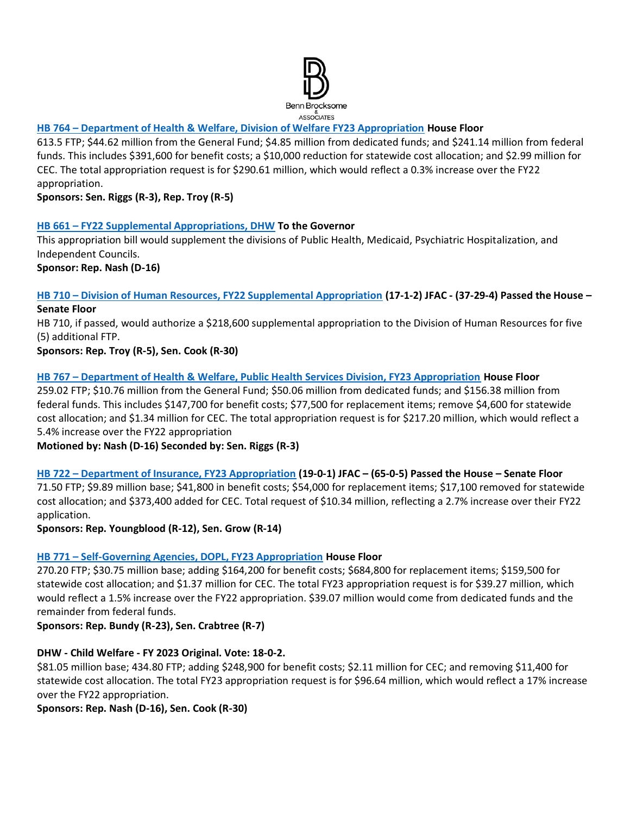

## **HB 764 – [Department of Health & Welfare, Division of Welfare FY23 Appropriation](https://legislature.idaho.gov/sessioninfo/2022/legislation/H0764/) House Floor**

613.5 FTP; \$44.62 million from the General Fund; \$4.85 million from dedicated funds; and \$241.14 million from federal funds. This includes \$391,600 for benefit costs; a \$10,000 reduction for statewide cost allocation; and \$2.99 million for CEC. The total appropriation request is for \$290.61 million, which would reflect a 0.3% increase over the FY22 appropriation.

**Sponsors: Sen. Riggs (R-3), Rep. Troy (R-5)**

## **HB 661 – [FY22 Supplemental Appropriations, DHW](https://legislature.idaho.gov/sessioninfo/2022/legislation/H0661/) To the Governor**

This appropriation bill would supplement the divisions of Public Health, Medicaid, Psychiatric Hospitalization, and Independent Councils.

**Sponsor: Rep. Nash (D-16)**

#### **HB 710 – [Division of Human Resources, FY22 Supplemental Appropriation](https://legislature.idaho.gov/sessioninfo/2022/legislation/H0710/) (17-1-2) JFAC - (37-29-4) Passed the House – Senate Floor**

HB 710, if passed, would authorize a \$218,600 supplemental appropriation to the Division of Human Resources for five (5) additional FTP.

**Sponsors: Rep. Troy (R-5), Sen. Cook (R-30)**

## **HB 767 – [Department of Health & Welfare, Public Health Services Division, FY23 Appropriation](https://legislature.idaho.gov/sessioninfo/2022/legislation/H0767/) House Floor**

259.02 FTP; \$10.76 million from the General Fund; \$50.06 million from dedicated funds; and \$156.38 million from federal funds. This includes \$147,700 for benefit costs; \$77,500 for replacement items; remove \$4,600 for statewide cost allocation; and \$1.34 million for CEC. The total appropriation request is for \$217.20 million, which would reflect a 5.4% increase over the FY22 appropriation

**Motioned by: Nash (D-16) Seconded by: Sen. Riggs (R-3)**

**HB 722 – [Department of Insurance, FY23 Appropriation](https://legislature.idaho.gov/sessioninfo/2022/legislation/H0722) (19-0-1) JFAC – (65-0-5) Passed the House – Senate Floor** 71.50 FTP; \$9.89 million base; \$41,800 in benefit costs; \$54,000 for replacement items; \$17,100 removed for statewide cost allocation; and \$373,400 added for CEC. Total request of \$10.34 million, reflecting a 2.7% increase over their FY22 application.

**Sponsors: Rep. Youngblood (R-12), Sen. Grow (R-14)**

## **HB 771 – [Self-Governing Agencies, DOPL, FY23 Appropriation](https://legislature.idaho.gov/sessioninfo/2022/legislation/H0771/) House Floor**

270.20 FTP; \$30.75 million base; adding \$164,200 for benefit costs; \$684,800 for replacement items; \$159,500 for statewide cost allocation; and \$1.37 million for CEC. The total FY23 appropriation request is for \$39.27 million, which would reflect a 1.5% increase over the FY22 appropriation. \$39.07 million would come from dedicated funds and the remainder from federal funds.

**Sponsors: Rep. Bundy (R-23), Sen. Crabtree (R-7)**

## **DHW - Child Welfare - FY 2023 Original. Vote: 18-0-2.**

\$81.05 million base; 434.80 FTP; adding \$248,900 for benefit costs; \$2.11 million for CEC; and removing \$11,400 for statewide cost allocation. The total FY23 appropriation request is for \$96.64 million, which would reflect a 17% increase over the FY22 appropriation.

**Sponsors: Rep. Nash (D-16), Sen. Cook (R-30)**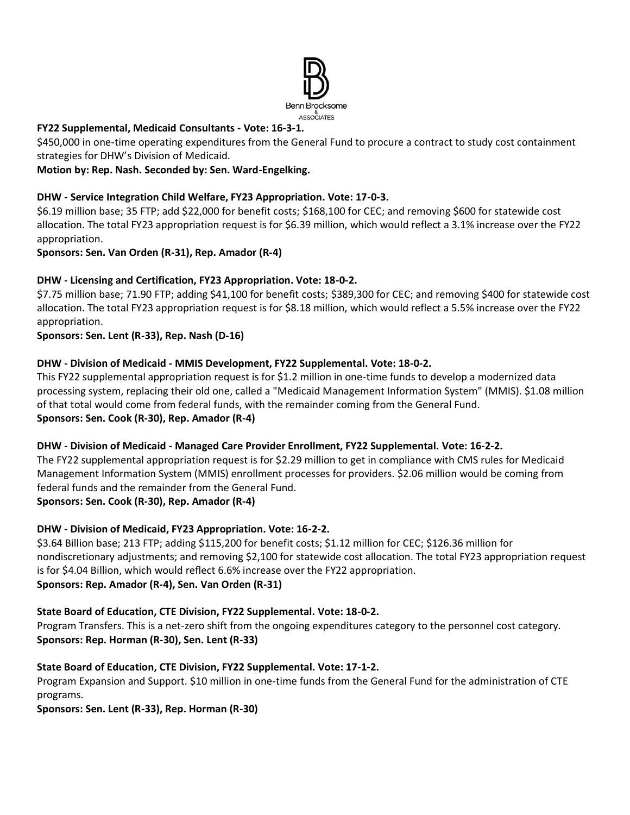

## **FY22 Supplemental, Medicaid Consultants - Vote: 16-3-1.**

\$450,000 in one-time operating expenditures from the General Fund to procure a contract to study cost containment strategies for DHW's Division of Medicaid.

## **Motion by: Rep. Nash. Seconded by: Sen. Ward-Engelking.**

#### **DHW - Service Integration Child Welfare, FY23 Appropriation. Vote: 17-0-3.**

\$6.19 million base; 35 FTP; add \$22,000 for benefit costs; \$168,100 for CEC; and removing \$600 for statewide cost allocation. The total FY23 appropriation request is for \$6.39 million, which would reflect a 3.1% increase over the FY22 appropriation.

## **Sponsors: Sen. Van Orden (R-31), Rep. Amador (R-4)**

## **DHW - Licensing and Certification, FY23 Appropriation. Vote: 18-0-2.**

\$7.75 million base; 71.90 FTP; adding \$41,100 for benefit costs; \$389,300 for CEC; and removing \$400 for statewide cost allocation. The total FY23 appropriation request is for \$8.18 million, which would reflect a 5.5% increase over the FY22 appropriation.

#### **Sponsors: Sen. Lent (R-33), Rep. Nash (D-16)**

## **DHW - Division of Medicaid - MMIS Development, FY22 Supplemental. Vote: 18-0-2.**

This FY22 supplemental appropriation request is for \$1.2 million in one-time funds to develop a modernized data processing system, replacing their old one, called a "Medicaid Management Information System" (MMIS). \$1.08 million of that total would come from federal funds, with the remainder coming from the General Fund. **Sponsors: Sen. Cook (R-30), Rep. Amador (R-4)**

#### **DHW - Division of Medicaid - Managed Care Provider Enrollment, FY22 Supplemental. Vote: 16-2-2.**

The FY22 supplemental appropriation request is for \$2.29 million to get in compliance with CMS rules for Medicaid Management Information System (MMIS) enrollment processes for providers. \$2.06 million would be coming from federal funds and the remainder from the General Fund.

**Sponsors: Sen. Cook (R-30), Rep. Amador (R-4)**

## **DHW - Division of Medicaid, FY23 Appropriation. Vote: 16-2-2.**

\$3.64 Billion base; 213 FTP; adding \$115,200 for benefit costs; \$1.12 million for CEC; \$126.36 million for nondiscretionary adjustments; and removing \$2,100 for statewide cost allocation. The total FY23 appropriation request is for \$4.04 Billion, which would reflect 6.6% increase over the FY22 appropriation. **Sponsors: Rep. Amador (R-4), Sen. Van Orden (R-31)**

#### **State Board of Education, CTE Division, FY22 Supplemental. Vote: 18-0-2.**

Program Transfers. This is a net-zero shift from the ongoing expenditures category to the personnel cost category. **Sponsors: Rep. Horman (R-30), Sen. Lent (R-33)**

## **State Board of Education, CTE Division, FY22 Supplemental. Vote: 17-1-2.**

Program Expansion and Support. \$10 million in one-time funds from the General Fund for the administration of CTE programs.

**Sponsors: Sen. Lent (R-33), Rep. Horman (R-30)**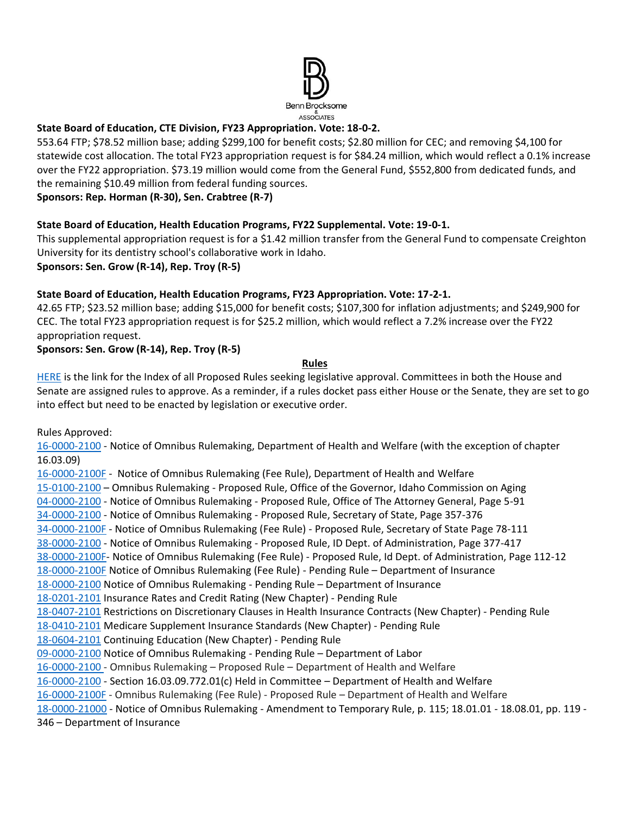

## **State Board of Education, CTE Division, FY23 Appropriation. Vote: 18-0-2.**

553.64 FTP; \$78.52 million base; adding \$299,100 for benefit costs; \$2.80 million for CEC; and removing \$4,100 for statewide cost allocation. The total FY23 appropriation request is for \$84.24 million, which would reflect a 0.1% increase over the FY22 appropriation. \$73.19 million would come from the General Fund, \$552,800 from dedicated funds, and the remaining \$10.49 million from federal funding sources.

**Sponsors: Rep. Horman (R-30), Sen. Crabtree (R-7)**

## **State Board of Education, Health Education Programs, FY22 Supplemental. Vote: 19-0-1.**

This supplemental appropriation request is for a \$1.42 million transfer from the General Fund to compensate Creighton University for its dentistry school's collaborative work in Idaho.

**Sponsors: Sen. Grow (R-14), Rep. Troy (R-5)**

## **State Board of Education, Health Education Programs, FY23 Appropriation. Vote: 17-2-1.**

42.65 FTP; \$23.52 million base; adding \$15,000 for benefit costs; \$107,300 for inflation adjustments; and \$249,900 for CEC. The total FY23 appropriation request is for \$25.2 million, which would reflect a 7.2% increase over the FY22 appropriation request.

## **Sponsors: Sen. Grow (R-14), Rep. Troy (R-5)**

#### **Rules**

[HERE](https://adminrules.idaho.gov/rules/current/) is the link for the Index of all Proposed Rules seeking legislative approval. Committees in both the House and Senate are assigned rules to approve. As a reminder, if a rules docket pass either House or the Senate, they are set to go into effect but need to be enacted by legislation or executive order.

Rules Approved:

[16-0000-2100](https://adminrules.idaho.gov/legislative_books/2022/pending/22H_HealthWelfare.pdf#nameddest=G12.999219) - Notice of Omnibus Rulemaking, Department of Health and Welfare (with the exception of chapter 16.03.09)

[16-0000-2100F](https://adminrules.idaho.gov/legislative_books/2022/fee/22H_Fee_HW.pdf#nameddest=G4.999237) - Notice of Omnibus Rulemaking (Fee Rule), Department of Health and Welfare [15-0100-2100](https://adminrules.idaho.gov/legislative_books/2022/pending/22H_HealthWelfare.pdf#nameddest=G4.999158) – Omnibus Rulemaking - Proposed Rule, Office of the Governor, Idaho Commission on Aging [04-0000-2100](https://adminrules.idaho.gov/legislative_books/2022/pending/22S_StateAffs.pdf#nameddest=G4.999167) - Notice of Omnibus Rulemaking - Proposed Rule, Office of The Attorney General, Page 5-91 [34-0000-2100](https://adminrules.idaho.gov/legislative_books/2022/pending/22S_StateAffs.pdf#nameddest=G17.999161) - Notice of Omnibus Rulemaking - Proposed Rule, Secretary of State, Page 357-376 [34-0000-2100F](https://adminrules.idaho.gov/legislative_books/2022/fee/22S_Fee_StateAffs.pdf#nameddest=G15.999174) - Notice of Omnibus Rulemaking (Fee Rule) - Proposed Rule, Secretary of State Page 78-111 [38-0000-2100](https://adminrules.idaho.gov/legislative_books/2022/pending/22S_StateAffs.pdf#nameddest=G38.999154) - Notice of Omnibus Rulemaking - Proposed Rule, ID Dept. of Administration, Page 377-417 [38-0000-2100F-](https://adminrules.idaho.gov/legislative_books/2022/fee/22S_Fee_StateAffs.pdf#nameddest=G20.999308) Notice of Omnibus Rulemaking (Fee Rule) - Proposed Rule, Id Dept. of Administration, Page 112-12 [18-0000-2100F](https://adminrules.idaho.gov/legislative_books/2022/fee/22H_FEE_Business.pdf#nameddest=G6.999167) Notice of Omnibus Rulemaking (Fee Rule) - Pending Rule – Department of Insurance [18-0000-2100](https://adminrules.idaho.gov/legislative_books/2022/pending/22H_Business.pdf#nameddest=G7.999199) Notice of Omnibus Rulemaking - Pending Rule – Department of Insurance [18-0201-2101](https://adminrules.idaho.gov/legislative_books/2022/pending/22H_Business.pdf#nameddest=G40.999284) Insurance Rates and Credit Rating (New Chapter) - Pending Rule [18-0407-2101](https://adminrules.idaho.gov/legislative_books/2022/pending/22H_Business.pdf#nameddest=G44.999241) Restrictions on Discretionary Clauses in Health Insurance Contracts (New Chapter) - Pending Rule [18-0410-2101](https://adminrules.idaho.gov/legislative_books/2022/pending/22H_Business.pdf#nameddest=G44.999241) Medicare Supplement Insurance Standards (New Chapter) - Pending Rule [18-0604-2101](https://adminrules.idaho.gov/legislative_books/2022/pending/22H_Business.pdf#nameddest=G44.999241) Continuing Education (New Chapter) - Pending Rule [09-0000-2100](https://adminrules.idaho.gov/legislative_books/2022/pending/22H_CommHR.pdf#nameddest=G4.999194) Notice of Omnibus Rulemaking - Pending Rule – Department of Labor [16-0000-2100](https://adminrules.idaho.gov/legislative_books/2022/pending/22H_HealthWelfare.pdf#nameddest=G12.999219) - Omnibus Rulemaking – Proposed Rule – Department of Health and Welfare [16-0000-2100](https://adminrules.idaho.gov/legislative_books/2022/pending/22H_HealthWelfare.pdf#nameddest=G12.999219) - Section 16.03.09.772.01(c) Held in Committee – Department of Health and Welfare [16-0000-2100F](https://adminrules.idaho.gov/legislative_books/2022/fee/22S_Fee_HealthWelfare.pdf) - Omnibus Rulemaking (Fee Rule) - Proposed Rule – Department of Health and Welfare [18-0000-21000](https://adminrules.idaho.gov/legislative_books/2022/pending/22S_CommHR.pdf#nameddest=G19.999199) - Notice of Omnibus Rulemaking - Amendment to Temporary Rule, p. 115; 18.01.01 - 18.08.01, pp. 119 - 346 – Department of Insurance